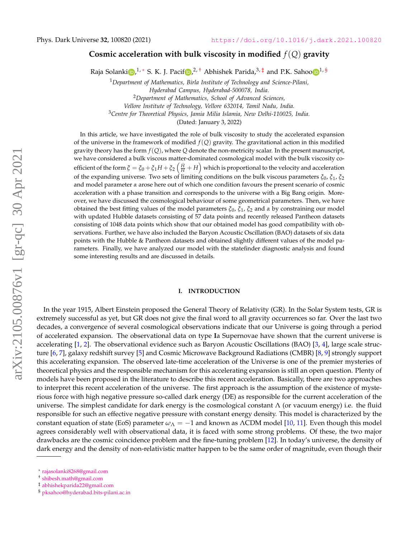# **Cosmic acceleration with bulk viscosity in modified** *f*(*Q*) **gravity**

Raja Solanki D[,](https://orcid.org/0000-0003-0951-414X)<sup>1,</sup> \* S. K. J. Pacif D,<sup>2, [†](#page-0-1)</sup> Abhishek Parida,<sup>3,[‡](#page-0-2)</sup> and P.K. Sah[o](https://orcid.org/0000-0003-2130-8832)o D<sup>1,[§](#page-0-3)</sup>

<sup>1</sup>*Department of Mathematics, Birla Institute of Technology and Science-Pilani, Hyderabad Campus, Hyderabad-500078, India.* <sup>2</sup>*Department of Mathematics, School of Advanced Sciences, Vellore Institute of Technology, Vellore 632014, Tamil Nadu, India.*

<sup>3</sup>*Centre for Theoretical Physics, Jamia Milia Islamia, New Delhi-110025, India.*

(Dated: January 3, 2022)

In this article, we have investigated the role of bulk viscosity to study the accelerated expansion of the universe in the framework of modified *f*(*Q*) gravity. The gravitational action in this modified gravity theory has the form  $f(Q)$ , where  $Q$  denote the non-metricity scalar. In the present manuscript, we have considered a bulk viscous matter-dominated cosmological model with the bulk viscosity coefficient of the form  $\xi=\xi_0+\xi_1H+\xi_2\left(\frac{H}{H}+H\right)$  which is proportional to the velocity and acceleration of the expanding universe. Two sets of limiting conditions on the bulk viscous parameters *ξ*0, *ξ*<sup>1</sup> , *ξ*<sup>2</sup> and model parameter *α* arose here out of which one condition favours the present scenario of cosmic acceleration with a phase transition and corresponds to the universe with a Big Bang origin. Moreover, we have discussed the cosmological behaviour of some geometrical parameters. Then, we have obtained the best fitting values of the model parameters *ξ*0, *ξ*<sup>1</sup> , *ξ*<sup>2</sup> and *α* by constraining our model with updated Hubble datasets consisting of 57 data points and recently released Pantheon datasets consisting of 1048 data points which show that our obtained model has good compatibility with observations. Further, we have also included the Baryon Acoustic Oscillation (BAO) datasets of six data points with the Hubble & Pantheon datasets and obtained slightly different values of the model parameters. Finally, we have analyzed our model with the statefinder diagnostic analysis and found some interesting results and are discussed in details.

### **I. INTRODUCTION**

In the year 1915, Albert Einstein proposed the General Theory of Relativity (GR). In the Solar System tests, GR is extremely successful as yet, but GR does not give the final word to all gravity occurrences so far. Over the last two decades, a convergence of several cosmological observations indicate that our Universe is going through a period of accelerated expansion. The observational data on type **I**a Supernovae have shown that the current universe is accelerating  $[1, 2]$  $[1, 2]$  $[1, 2]$ . The observational evidence such as Baryon Acoustic Oscillations (BAO)  $[3, 4]$  $[3, 4]$  $[3, 4]$ , large scale structure [\[6,](#page-22-4) [7\]](#page-22-5), galaxy redshift survey [\[5\]](#page-22-6) and Cosmic Microwave Background Radiations (CMBR) [\[8,](#page-22-7) [9\]](#page-22-8) strongly support this accelerating expansion. The observed late-time acceleration of the Universe is one of the premier mysteries of theoretical physics and the responsible mechanism for this accelerating expansion is still an open question. Plenty of models have been proposed in the literature to describe this recent acceleration. Basically, there are two approaches to interpret this recent acceleration of the universe. The first approach is the assumption of the existence of mysterious force with high negative pressure so-called dark energy (DE) as responsible for the current acceleration of the universe. The simplest candidate for dark energy is the cosmological constant  $\Lambda$  (or vacuum energy) i.e. the fluid responsible for such an effective negative pressure with constant energy density. This model is characterized by the constant equation of state (EoS) parameter  $\omega_{\Lambda} = -1$  and known as  $\Lambda$ CDM model [\[10,](#page-22-9) [11\]](#page-22-10). Even though this model agrees considerably well with observational data, it is faced with some strong problems. Of these, the two major drawbacks are the cosmic coincidence problem and the fine-tuning problem [\[12\]](#page-22-11). In today's universe, the density of dark energy and the density of non-relativistic matter happen to be the same order of magnitude, even though their

<span id="page-0-0"></span><sup>∗</sup> [rajasolanki8268@gmail.com](mailto:rajasolanki8268@gmail.com)

<span id="page-0-1"></span><sup>†</sup> [shibesh.math@gmail.com](mailto:shibesh.math@gmail.com)

<span id="page-0-2"></span><sup>‡</sup> [abhishekparida22@gmail.com](mailto:abhishekparida22@gmail.com)

<span id="page-0-3"></span><sup>§</sup> [pksahoo@hyderabad.bits-pilani.ac.in](mailto:pksahoo@hyderabad.bits-pilani.ac.in)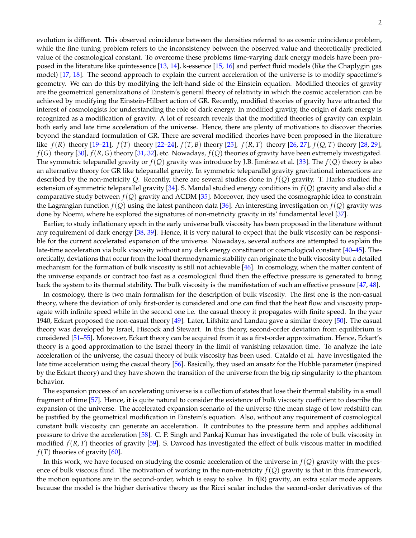evolution is different. This observed coincidence between the densities referred to as cosmic coincidence problem, while the fine tuning problem refers to the inconsistency between the observed value and theoretically predicted value of the cosmological constant. To overcome these problems time-varying dark energy models have been proposed in the literature like quintessence [\[13,](#page-22-12) [14\]](#page-22-13), k-essence [\[15,](#page-22-14) [16\]](#page-22-15) and perfect fluid models (like the Chaplygin gas model) [\[17,](#page-22-16) [18\]](#page-22-17). The second approach to explain the current acceleration of the universe is to modify spacetime's geometry. We can do this by modifying the left-hand side of the Einstein equation. Modified theories of gravity are the geometrical generalizations of Einstein's general theory of relativity in which the cosmic acceleration can be achieved by modifying the Einstein-Hilbert action of GR. Recently, modified theories of gravity have attracted the interest of cosmologists for understanding the role of dark energy. In modified gravity, the origin of dark energy is recognized as a modification of gravity. A lot of research reveals that the modified theories of gravity can explain both early and late time acceleration of the universe. Hence, there are plenty of motivations to discover theories beyond the standard formulation of GR. There are several modified theories have been proposed in the literature like  $f(R)$  theory  $[19–21]$  $[19–21]$ ,  $f(T)$  theory  $[22–24]$  $[22–24]$ ,  $f(T, B)$  theory  $[25]$ ,  $f(R, T)$  theory  $[26, 27]$  $[26, 27]$  $[26, 27]$ ,  $f(Q, T)$  theory  $[28, 29]$  $[28, 29]$  $[28, 29]$ , *f*(*G*) theory [\[30\]](#page-23-2), *f*(*R*, *G*) theory [\[31,](#page-23-3) [32\]](#page-23-4), etc. Nowadays, *f*(*Q*) theories of gravity have been extremely investigated. The symmetric teleparallel gravity or  $f(Q)$  gravity was introduce by J.B. Jiménez et al. [[33\]](#page-23-5). The  $f(Q)$  theory is also an alternative theory for GR like teleparallel gravity. In symmetric teleparallel gravity gravitational interactions are described by the non-metricity *Q*. Recently, there are several studies done in *f*(*Q*) gravity. T. Harko studied the extension of symmetric teleparallel gravity [\[34\]](#page-23-6). S. Mandal studied energy conditions in *f*(*Q*) gravity and also did a comparative study between *f*(*Q*) gravity and ΛCDM [\[35\]](#page-23-7). Moreover, they used the cosmographic idea to constrain the Lagrangian function  $f(Q)$  using the latest pantheon data [\[36\]](#page-23-8). An interesting investigation on  $f(Q)$  gravity was done by Noemi, where he explored the signatures of non-metricity gravity in its' fundamental level [\[37\]](#page-23-9).

Earlier, to study inflationary epoch in the early universe bulk viscosity has been proposed in the literature without any requirement of dark energy [\[38,](#page-23-10) [39\]](#page-23-11). Hence, it is very natural to expect that the bulk viscosity can be responsible for the current accelerated expansion of the universe. Nowadays, several authors are attempted to explain the late-time acceleration via bulk viscosity without any dark energy constituent or cosmological constant [\[40](#page-23-12)[–45\]](#page-23-13). Theoretically, deviations that occur from the local thermodynamic stability can originate the bulk viscosity but a detailed mechanism for the formation of bulk viscosity is still not achievable [\[46\]](#page-23-14). In cosmology, when the matter content of the universe expands or contract too fast as a cosmological fluid then the effective pressure is generated to bring back the system to its thermal stability. The bulk viscosity is the manifestation of such an effective pressure [\[47,](#page-23-15) [48\]](#page-23-16).

In cosmology, there is two main formalism for the description of bulk viscosity. The first one is the non-casual theory, where the deviation of only first-order is considered and one can find that the heat flow and viscosity propagate with infinite speed while in the second one i.e. the casual theory it propagates with finite speed. In the year 1940, Eckart proposed the non-casual theory [\[49\]](#page-23-17). Later, Lifshitz and Landau gave a similar theory [\[50\]](#page-23-18). The casual theory was developed by Israel, Hiscock and Stewart. In this theory, second-order deviation from equilibrium is considered [\[51](#page-23-19)[–55\]](#page-23-20). Moreover, Eckart theory can be acquired from it as a first-order approximation. Hence, Eckart's theory is a good approximation to the Israel theory in the limit of vanishing relaxation time. To analyze the late acceleration of the universe, the casual theory of bulk viscosity has been used. Cataldo et al. have investigated the late time acceleration using the casual theory [\[56\]](#page-23-21). Basically, they used an ansatz for the Hubble parameter (inspired by the Eckart theory) and they have shown the transition of the universe from the big rip singularity to the phantom behavior.

The expansion process of an accelerating universe is a collection of states that lose their thermal stability in a small fragment of time [\[57\]](#page-23-22). Hence, it is quite natural to consider the existence of bulk viscosity coefficient to describe the expansion of the universe. The accelerated expansion scenario of the universe (the mean stage of low redshift) can be justified by the geometrical modification in Einstein's equation. Also, without any requirement of cosmological constant bulk viscosity can generate an acceleration. It contributes to the pressure term and applies additional pressure to drive the acceleration [\[58\]](#page-23-23). C. P. Singh and Pankaj Kumar has investigated the role of bulk viscosity in modified *f*(*R*, *T*) theories of gravity [\[59\]](#page-23-24). S. Davood has investigated the effect of bulk viscous matter in modified  $f(T)$  theories of gravity [\[60\]](#page-23-25).

In this work, we have focused on studying the cosmic acceleration of the universe in *f*(*Q*) gravity with the presence of bulk viscous fluid. The motivation of working in the non-metricity *f*(*Q*) gravity is that in this framework, the motion equations are in the second-order, which is easy to solve. In  $f(R)$  gravity, an extra scalar mode appears because the model is the higher derivative theory as the Ricci scalar includes the second-order derivatives of the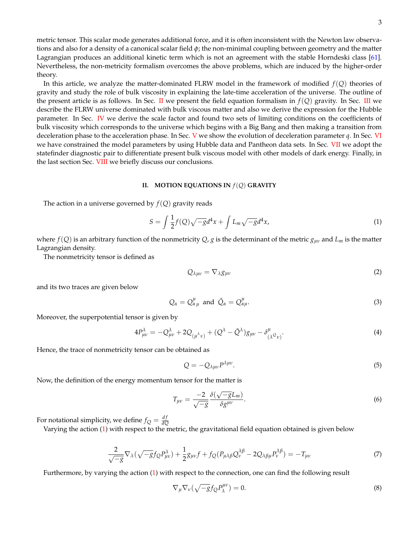metric tensor. This scalar mode generates additional force, and it is often inconsistent with the Newton law observations and also for a density of a canonical scalar field *φ*; the non-minimal coupling between geometry and the matter Lagrangian produces an additional kinetic term which is not an agreement with the stable Horndeski class [\[61\]](#page-23-26). Nevertheless, the non-metricity formalism overcomes the above problems, which are induced by the higher-order theory.

In this article, we analyze the matter-dominated FLRW model in the framework of modified *f*(*Q*) theories of gravity and study the role of bulk viscosity in explaining the late-time acceleration of the universe. The outline of the present article is as follows. In Sec. [II](#page-2-0) we present the field equation formalism in  $f(Q)$  gravity. In Sec. [III](#page-3-0) we describe the FLRW universe dominated with bulk viscous matter and also we derive the expression for the Hubble parameter. In Sec. [IV](#page-4-0) we derive the scale factor and found two sets of limiting conditions on the coefficients of bulk viscosity which corresponds to the universe which begins with a Big Bang and then making a transition from deceleration phase to the acceleration phase. In Sec. [V](#page-5-0) we show the evolution of deceleration parameter *q*. In Sec. [VI](#page-8-0) we have constrained the model parameters by using Hubble data and Pantheon data sets. In Sec. [VII](#page-17-0) we adopt the statefinder diagnostic pair to differentiate present bulk viscous model with other models of dark energy. Finally, in the last section Sec. [VIII](#page-21-0) we briefly discuss our conclusions.

### <span id="page-2-0"></span>**II. MOTION EQUATIONS IN** *f*(*Q*) **GRAVITY**

The action in a universe governed by  $f(Q)$  gravity reads

<span id="page-2-1"></span>
$$
S = \int \frac{1}{2} f(Q) \sqrt{-g} d^4 x + \int L_m \sqrt{-g} d^4 x,\tag{1}
$$

where  $f(Q)$  is an arbitrary function of the nonmetricity  $Q$ ,  $g$  is the determinant of the metric  $g_{\mu\nu}$  and  $L_m$  is the matter Lagrangian density.

The nonmetricity tensor is defined as

$$
Q_{\lambda\mu\nu} = \nabla_{\lambda} g_{\mu\nu} \tag{2}
$$

and its two traces are given below

$$
Q_{\alpha} = Q_{\alpha\mu}^{\mu} \text{ and } \tilde{Q}_{\alpha} = Q_{\alpha\mu}^{\mu}.
$$
 (3)

Moreover, the superpotential tensor is given by

$$
4P_{\mu\nu}^{\lambda} = -Q_{\mu\nu}^{\lambda} + 2Q_{(\mu^{\lambda}\nu)} + (Q^{\lambda} - \tilde{Q}^{\lambda})g_{\mu\nu} - \delta_{(\lambda}^{\mu}Q_{\nu)}.
$$
\n(4)

Hence, the trace of nonmetricity tensor can be obtained as

$$
Q = -Q_{\lambda\mu\nu}P^{\lambda\mu\nu}.\tag{5}
$$

Now, the definition of the energy momentum tensor for the matter is

$$
T_{\mu\nu} = \frac{-2}{\sqrt{-g}} \frac{\delta(\sqrt{-g}L_m)}{\delta g^{\mu\nu}}.
$$
\n(6)

For notational simplicity, we define  $f_Q = \frac{df}{dC}$ *dQ*

Varying the action [\(1\)](#page-2-1) with respect to the metric, the gravitational field equation obtained is given below

$$
\frac{2}{\sqrt{-g}}\nabla_{\lambda}(\sqrt{-g}f_{Q}P_{\mu\nu}^{\lambda}) + \frac{1}{2}g_{\mu\nu}f + f_{Q}(P_{\mu\lambda\beta}Q_{\nu}^{\lambda\beta} - 2Q_{\lambda\beta\mu}P_{\nu}^{\lambda\beta}) = -T_{\mu\nu}
$$
\n(7)

Furthermore, by varying the action [\(1\)](#page-2-1) with respect to the connection, one can find the following result

$$
\nabla_{\mu}\nabla_{\nu}(\sqrt{-g}f_{Q}P_{\lambda}^{\mu\nu})=0.
$$
\n(8)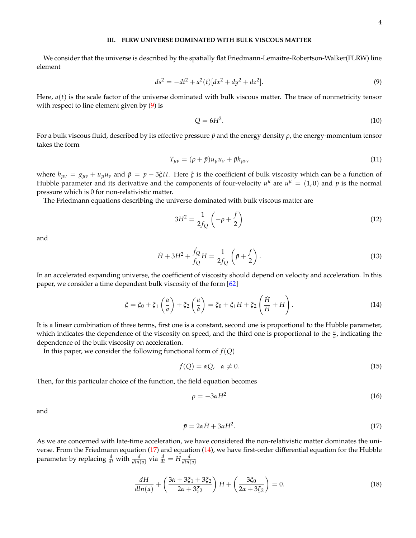## <span id="page-3-0"></span>**III. FLRW UNIVERSE DOMINATED WITH BULK VISCOUS MATTER**

We consider that the universe is described by the spatially flat Friedmann-Lemaitre-Robertson-Walker(FLRW) line element

<span id="page-3-1"></span>
$$
ds^2 = -dt^2 + a^2(t)[dx^2 + dy^2 + dz^2].
$$
\n(9)

Here,  $a(t)$  is the scale factor of the universe dominated with bulk viscous matter. The trace of nonmetricity tensor with respect to line element given by  $(9)$  is

$$
Q = 6H^2. \tag{10}
$$

For a bulk viscous fluid, described by its effective pressure *p*¯ and the energy density *ρ*, the energy-momentum tensor takes the form

$$
T_{\mu\nu} = (\rho + \bar{p})u_{\mu}u_{\nu} + \bar{p}h_{\mu\nu},\tag{11}
$$

where  $h_{\mu\nu} = g_{\mu\nu} + u_{\mu}u_{\nu}$  and  $\bar{p} = p - 3\xi H$ . Here  $\xi$  is the coefficient of bulk viscosity which can be a function of Hubble parameter and its derivative and the components of four-velocity  $u^{\mu}$  are  $u^{\mu} = (1,0)$  and p is the normal pressure which is 0 for non-relativistic matter.

The Friedmann equations describing the universe dominated with bulk viscous matter are

$$
3H^2 = \frac{1}{2f_Q} \left( -\rho + \frac{f}{2} \right) \tag{12}
$$

and

$$
\dot{H} + 3H^2 + \frac{\dot{f}_Q}{f_Q}H = \frac{1}{2f_Q} \left( \bar{p} + \frac{f}{2} \right).
$$
 (13)

In an accelerated expanding universe, the coefficient of viscosity should depend on velocity and acceleration. In this paper, we consider a time dependent bulk viscosity of the form [\[62\]](#page-23-27)

<span id="page-3-3"></span>
$$
\xi = \xi_0 + \xi_1 \left(\frac{\dot{a}}{a}\right) + \xi_2 \left(\frac{\ddot{a}}{\dot{a}}\right) = \xi_0 + \xi_1 H + \xi_2 \left(\frac{\dot{H}}{H} + H\right). \tag{14}
$$

It is a linear combination of three terms, first one is a constant, second one is proportional to the Hubble parameter, which indicates the dependence of the viscosity on speed, and the third one is proportional to the  $\frac{\ddot{a}}{\dot{a}}$ , indicating the dependence of the bulk viscosity on acceleration.

In this paper, we consider the following functional form of  $f(Q)$ 

$$
f(Q) = \alpha Q, \quad \alpha \neq 0. \tag{15}
$$

Then, for this particular choice of the function, the field equation becomes

<span id="page-3-5"></span>
$$
\rho = -3\alpha H^2 \tag{16}
$$

and

<span id="page-3-2"></span>
$$
\bar{p} = 2\alpha \dot{H} + 3\alpha H^2. \tag{17}
$$

As we are concerned with late-time acceleration, we have considered the non-relativistic matter dominates the universe. From the Friedmann equation [\(17\)](#page-3-2) and equation [\(14\)](#page-3-3), we have first-order differential equation for the Hubble parameter by replacing  $\frac{d}{dt}$  with  $\frac{d}{dln(a)}$  via  $\frac{d}{dt} = H \frac{d}{dln(a)}$ 

<span id="page-3-4"></span>
$$
\frac{dH}{dln(a)} + \left(\frac{3\alpha + 3\xi_1 + 3\xi_2}{2\alpha + 3\xi_2}\right)H + \left(\frac{3\xi_0}{2\alpha + 3\xi_2}\right) = 0.
$$
\n(18)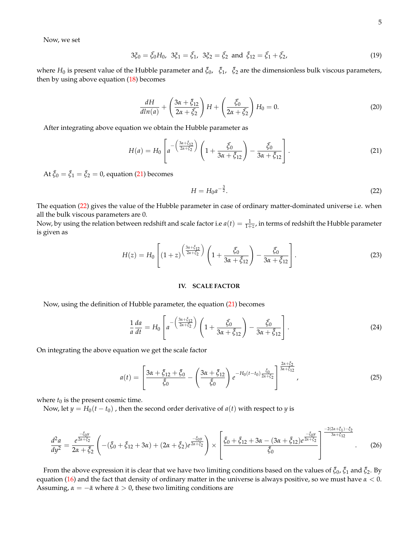Now, we set

<span id="page-4-3"></span>
$$
3\xi_0 = \bar{\xi}_0 H_0, \ \ 3\xi_1 = \bar{\xi}_1, \ \ 3\xi_2 = \bar{\xi}_2 \ \ \text{and} \ \ \bar{\xi}_{12} = \bar{\xi}_1 + \bar{\xi}_2,\tag{19}
$$

where  $H_0$  is present value of the Hubble parameter and  $\bar{\zeta}_0$ ,  $\bar{\zeta}_1$ ,  $\bar{\zeta}_2$  are the dimensionless bulk viscous parameters, then by using above equation [\(18\)](#page-3-4) becomes

<span id="page-4-4"></span>
$$
\frac{dH}{dln(a)} + \left(\frac{3\alpha + \bar{\xi}_{12}}{2\alpha + \bar{\xi}_{2}}\right)H + \left(\frac{\bar{\xi}_{0}}{2\alpha + \bar{\xi}_{2}}\right)H_{0} = 0.
$$
\n(20)

After integrating above equation we obtain the Hubble parameter as

<span id="page-4-1"></span>
$$
H(a) = H_0 \left[ a^{-\left(\frac{3\alpha + \tilde{\xi}_1}{2\alpha + \tilde{\xi}_2}\right)} \left( 1 + \frac{\tilde{\xi}_0}{3\alpha + \tilde{\xi}_{12}} \right) - \frac{\tilde{\xi}_0}{3\alpha + \tilde{\xi}_{12}} \right].
$$
 (21)

At  $\bar{\xi}_0 = \bar{\xi}_1 = \bar{\xi}_2 = 0$ , equation [\(21\)](#page-4-1) becomes

<span id="page-4-2"></span>
$$
H = H_0 a^{-\frac{3}{2}}.
$$
\n(22)

The equation [\(22\)](#page-4-2) gives the value of the Hubble parameter in case of ordinary matter-dominated universe i.e. when all the bulk viscous parameters are 0.

Now, by using the relation between redshift and scale factor i.e  $a(t)=\frac{1}{1+z}$ , in terms of redshift the Hubble parameter is given as

<span id="page-4-5"></span>
$$
H(z) = H_0 \left[ (1+z) \left( \frac{3\alpha + \bar{\xi}_1}{2\alpha + \bar{\xi}_2} \right) \left( 1 + \frac{\bar{\xi}_0}{3\alpha + \bar{\xi}_1} \right) - \frac{\bar{\xi}_0}{3\alpha + \bar{\xi}_1} \right].
$$
 (23)

## <span id="page-4-0"></span>**IV. SCALE FACTOR**

Now, using the definition of Hubble parameter, the equation [\(21\)](#page-4-1) becomes

$$
\frac{1}{a}\frac{da}{dt} = H_0 \left[ a^{-\left(\frac{3\alpha + \bar{\xi}_1}{2\alpha + \bar{\xi}_2}\right)} \left( 1 + \frac{\bar{\xi}_0}{3\alpha + \bar{\xi}_{12}} \right) - \frac{\bar{\xi}_0}{3\alpha + \bar{\xi}_{12}} \right].
$$
\n(24)

On integrating the above equation we get the scale factor

$$
a(t) = \left[\frac{3\alpha + \bar{\xi}_{12} + \bar{\xi}_{0}}{\bar{\xi}_{0}} - \left(\frac{3\alpha + \bar{\xi}_{12}}{\bar{\xi}_{0}}\right)e^{-H_{0}(t-t_{0})\frac{\bar{\xi}_{0}}{2\alpha + \bar{\xi}_{2}}}\right]^{\frac{2\alpha + \bar{\xi}_{2}}{3\alpha + \bar{\xi}_{12}}},
$$
(25)

where  $t_0$  is the present cosmic time.

Now, let  $y = H_0(t - t_0)$ , then the second order derivative of  $a(t)$  with respect to  $y$  is

$$
\frac{d^2a}{dy^2} = \frac{e^{\frac{-\tilde{\xi}_0 y}{2\alpha + \tilde{\xi}_2}}}{2\alpha + \tilde{\xi}_2} \left( -(\tilde{\xi}_0 + \tilde{\xi}_{12} + 3\alpha) + (2\alpha + \tilde{\xi}_2)e^{\frac{-\tilde{\xi}_0 y}{2\alpha + \tilde{\xi}_2}} \right) \times \left[ \frac{\tilde{\xi}_0 + \tilde{\xi}_{12} + 3\alpha - (3\alpha + \tilde{\xi}_{12})e^{\frac{-\tilde{\xi}_0 y}{2\alpha + \tilde{\xi}_2}}}{\tilde{\xi}_0} \right]^{\frac{-2(2\alpha + \tilde{\xi}_1) - \tilde{\xi}_2}{3\alpha + \tilde{\xi}_{12}}}.
$$
(26)

From the above expression it is clear that we have two limiting conditions based on the values of ¯*ξ*0, ¯*ξ*<sup>1</sup> and ¯*ξ*2. By equation [\(16\)](#page-3-5) and the fact that density of ordinary matter in the universe is always positive, so we must have *α* < 0. Assuming,  $\alpha = -\bar{\alpha}$  where  $\bar{\alpha} > 0$ , these two limiting conditions are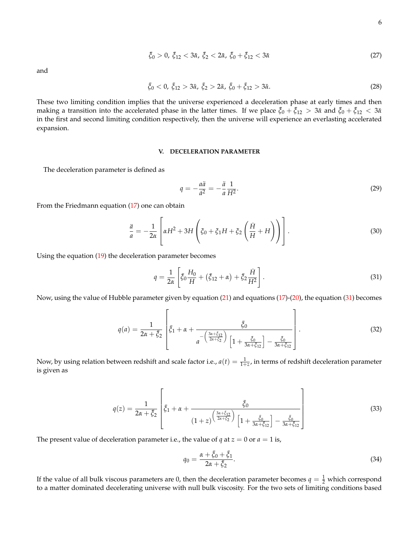$$
\bar{\xi}_0 > 0, \ \bar{\xi}_{12} < 3\bar{\alpha}, \ \bar{\xi}_2 < 2\bar{\alpha}, \ \bar{\xi}_0 + \bar{\xi}_{12} < 3\bar{\alpha} \tag{27}
$$

and

$$
\bar{\xi}_0 < 0, \ \bar{\xi}_{12} > 3\bar{\alpha}, \ \bar{\xi}_2 > 2\bar{\alpha}, \ \bar{\xi}_0 + \bar{\xi}_{12} > 3\bar{\alpha}.\tag{28}
$$

These two limiting condition implies that the universe experienced a deceleration phase at early times and then making a transition into the accelerated phase in the latter times. If we place  $\bar{\zeta}_0 + \bar{\zeta}_{12} > 3\bar{\alpha}$  and  $\bar{\zeta}_0 + \bar{\zeta}_{12} < 3\bar{\alpha}$ in the first and second limiting condition respectively, then the universe will experience an everlasting accelerated expansion.

### <span id="page-5-0"></span>**V. DECELERATION PARAMETER**

The deceleration parameter is defined as

$$
q = -\frac{a\ddot{a}}{\dot{a}^2} = -\frac{\ddot{a}}{a}\frac{1}{H^2}.\tag{29}
$$

From the Friedmann equation [\(17\)](#page-3-2) one can obtain

$$
\frac{\ddot{a}}{a} = -\frac{1}{2\alpha} \left[ \alpha H^2 + 3H \left( \xi_0 + \xi_1 H + \xi_2 \left( \frac{\dot{H}}{H} + H \right) \right) \right].
$$
\n(30)

Using the equation [\(19\)](#page-4-3) the deceleration parameter becomes

<span id="page-5-1"></span>
$$
q = \frac{1}{2\alpha} \left[ \bar{\xi}_0 \frac{H_0}{H} + (\bar{\xi}_{12} + \alpha) + \bar{\xi}_2 \frac{H}{H^2} \right].
$$
 (31)

Now, using the value of Hubble parameter given by equation [\(21\)](#page-4-1) and equations [\(17\)](#page-3-2)-[\(20\)](#page-4-4), the equation [\(31\)](#page-5-1) becomes

$$
q(a) = \frac{1}{2\alpha + \bar{\xi}_2} \left[ \bar{\xi}_1 + \alpha + \frac{\bar{\xi}_0}{a - \left(\frac{3\alpha + \bar{\xi}_1}{2\alpha + \bar{\xi}_2}\right)} \left[1 + \frac{\bar{\xi}_0}{3\alpha + \bar{\xi}_{12}}\right] - \frac{\bar{\xi}_0}{3\alpha + \bar{\xi}_{12}} \right].
$$
\n(32)

Now, by using relation between redshift and scale factor i.e.,  $a(t)=\frac{1}{1+z}$ , in terms of redshift deceleration parameter is given as

$$
q(z) = \frac{1}{2\alpha + \bar{\zeta}_2} \left[ \bar{\zeta}_1 + \alpha + \frac{\bar{\zeta}_0}{(1+z)\left(\frac{3\alpha + \bar{\zeta}_1}{2\alpha + \bar{\zeta}_2}\right)} \frac{\bar{\zeta}_0}{\left[1 + \frac{\bar{\zeta}_0}{3\alpha + \bar{\zeta}_{12}}\right] - \frac{\bar{\zeta}_0}{3\alpha + \bar{\zeta}_{12}}} \right]
$$
(33)

The present value of deceleration parameter i.e., the value of *q* at  $z = 0$  or  $a = 1$  is,

$$
q_0 = \frac{\alpha + \bar{\xi}_0 + \bar{\xi}_1}{2\alpha + \bar{\xi}_2}.
$$
\n
$$
(34)
$$

If the value of all bulk viscous parameters are 0, then the deceleration parameter becomes  $q=\frac{1}{2}$  which correspond to a matter dominated decelerating universe with null bulk viscosity. For the two sets of limiting conditions based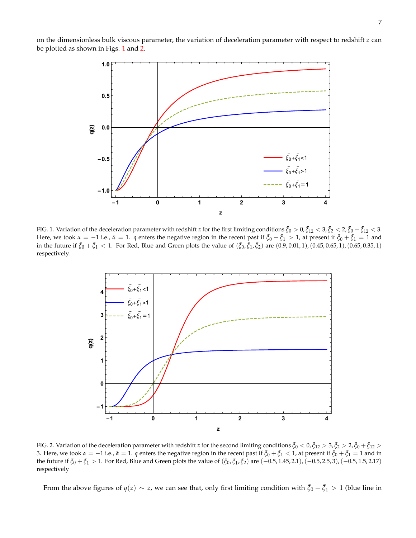on the dimensionless bulk viscous parameter, the variation of deceleration parameter with respect to redshift *z* can be plotted as shown in Figs. [1](#page-6-0) and [2.](#page-6-1)



<span id="page-6-0"></span>FIG. 1. Variation of the deceleration parameter with redshift *z* for the first limiting conditions  $\bar{\xi}_0 > 0$ ,  $\bar{\xi}_{12} < 3$ ,  $\bar{\xi}_2 < 2$ ,  $\bar{\xi}_0 + \bar{\xi}_{12} < 3$ . Here, we took  $\alpha = -1$  i.e.,  $\bar{\alpha} = 1$ . *q* enters the negative region in the recent past if  $\bar{\zeta}_0 + \bar{\zeta}_1 > 1$ , at present if  $\bar{\zeta}_0 + \bar{\zeta}_1 = 1$  and in the future if  $\bar{\xi}_0 + \bar{\xi}_1 < 1$ . For Red, Blue and Green plots the value of  $(\bar{\xi}_0, \bar{\xi}_1, \bar{\xi}_2)$  are  $(0.9, 0.01, 1)$ ,  $(0.45, 0.65, 1)$ ,  $(0.65, 0.35, 1)$ respectively.



<span id="page-6-1"></span>FIG. 2. Variation of the deceleration parameter with redshift *z* for the second limiting conditions  $\bar{\xi}_0 < 0$ ,  $\bar{\xi}_{12} > 3$ ,  $\bar{\xi}_2 > 2$ ,  $\bar{\xi}_0 + \bar{\xi}_{12} >$ 3. Here, we took  $\alpha = -1$  i.e.,  $\bar{\alpha} = 1$ . *q* enters the negative region in the recent past if  $\bar{\zeta}_0 + \bar{\zeta}_1 < 1$ , at present if  $\bar{\zeta}_0 + \bar{\zeta}_1 = 1$  and in the future if  $\bar{\zeta}_0 + \bar{\zeta}_1 > 1$ . For Red, Blue and Green plots the value of  $(\bar{\zeta}_0, \bar{\zeta}_1, \bar{\zeta}_2)$  are  $(-0.5, 1.45, 2.1)$ ,  $(-0.5, 2.5, 3)$ ,  $(-0.5, 1.5, 2.17)$ respectively

From the above figures of  $q(z) \sim z$ , we can see that, only first limiting condition with  $\bar{\zeta}_0 + \bar{\zeta}_1 > 1$  (blue line in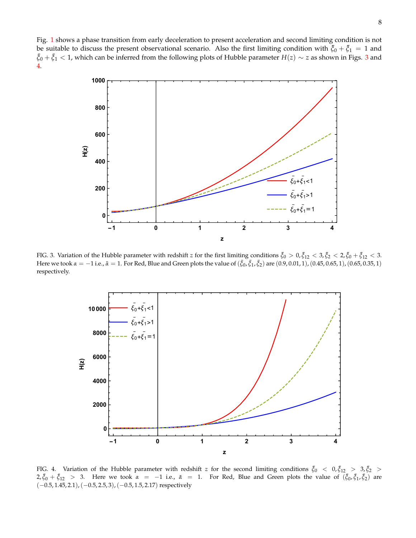Fig. [1](#page-6-0) shows a phase transition from early deceleration to present acceleration and second limiting condition is not be suitable to discuss the present observational scenario. Also the first limiting condition with  $\bar{\zeta}_0 + \bar{\zeta}_1 = 1$  and ¯*ξ*<sup>0</sup> + ¯*ξ*<sup>1</sup> < 1, which can be inferred from the following plots of Hubble parameter *H*(*z*) ∼ *z* as shown in Figs. [3](#page-7-0) and [4.](#page-7-1)



<span id="page-7-0"></span>FIG. 3. Variation of the Hubble parameter with redshift *z* for the first limiting conditions  $\bar{\zeta}_0 > 0$ ,  $\bar{\zeta}_{12} < 3$ ,  $\bar{\zeta}_2 < 2$ ,  $\bar{\zeta}_0 + \bar{\zeta}_{12} < 3$ . Here we took *α* = −1 i.e., *α* = 1. For Red, Blue and Green plots the value of  $(\bar{\xi}_0, \bar{\xi}_1, \bar{\xi}_2)$  are  $(0.9, 0.01, 1)$ ,  $(0.45, 0.65, 1)$ ,  $(0.65, 0.35, 1)$ respectively.



<span id="page-7-1"></span>FIG. 4. Variation of the Hubble parameter with redshift *z* for the second limiting conditions  $\bar{\xi}_0$  <  $0,\bar{\xi}_{12}$  >  $3,\bar{\xi}_2$  > 2,  $\bar{\xi}_0 + \bar{\xi}_{12} > 3$ . Here we took *α* = −1 i.e., *α* = 1. For Red, Blue and Green plots the value of  $(\bar{\xi}_0, \bar{\xi}_1, \bar{\xi}_2)$  are (−0.5, 1.45, 2.1),(−0.5, 2.5, 3),(−0.5, 1.5, 2.17) respectively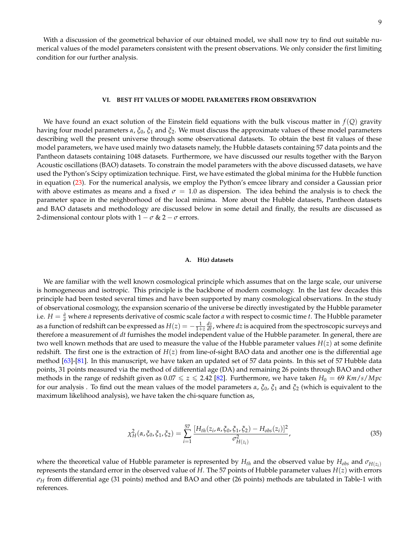With a discussion of the geometrical behavior of our obtained model, we shall now try to find out suitable numerical values of the model parameters consistent with the present observations. We only consider the first limiting condition for our further analysis.

### <span id="page-8-0"></span>**VI. BEST FIT VALUES OF MODEL PARAMETERS FROM OBSERVATION**

We have found an exact solution of the Einstein field equations with the bulk viscous matter in *f*(*Q*) gravity having four model parameters *α*, *ξ*0, *ξ*<sup>1</sup> and *ξ*2. We must discuss the approximate values of these model parameters describing well the present universe through some observational datasets. To obtain the best fit values of these model parameters, we have used mainly two datasets namely, the Hubble datasets containing 57 data points and the Pantheon datasets containing 1048 datasets. Furthermore, we have discussed our results together with the Baryon Acoustic oscillations (BAO) datasets. To constrain the model parameters with the above discussed datasets, we have used the Python's Scipy optimization technique. First, we have estimated the global minima for the Hubble function in equation [\(23\)](#page-4-5). For the numerical analysis, we employ the Python's emcee library and consider a Gaussian prior with above estimates as means and a fixed  $\sigma = 1.0$  as dispersion. The idea behind the analysis is to check the parameter space in the neighborhood of the local minima. More about the Hubble datasets, Pantheon datasets and BAO datasets and methodology are discussed below in some detail and finally, the results are discussed as 2-dimensional contour plots with  $1 - \sigma \& 2 - \sigma$  errors.

### **A. H(z) datasets**

We are familiar with the well known cosmological principle which assumes that on the large scale, our universe is homogeneous and isotropic. This principle is the backbone of modern cosmology. In the last few decades this principle had been tested several times and have been supported by many cosmological observations. In the study of observational cosmology, the expansion scenario of the universe be directly investigated by the Hubble parameter i.e.  $H = \frac{\dot{a}}{a}$  where *a* represents derivative of cosmic scale factor *a* with respect to cosmic time *t*. The Hubble parameter as a function of redshift can be expressed as  $H(z)=-\frac{1}{1+z}\frac{dz}{dt}$ , where  $dz$  is acquired from the spectroscopic surveys and therefore a measurement of *dt* furnishes the model independent value of the Hubble parameter. In general, there are two well known methods that are used to measure the value of the Hubble parameter values *H*(*z*) at some definite redshift. The first one is the extraction of  $H(z)$  from line-of-sight BAO data and another one is the differential age method [\[63\]](#page-23-28)-[\[81\]](#page-23-29). In this manuscript, we have taken an updated set of 57 data points. In this set of 57 Hubble data points, 31 points measured via the method of differential age (DA) and remaining 26 points through BAO and other methods in the range of redshift given as  $0.07 \le z \le 2.42$  [\[82\]](#page-23-30). Furthermore, we have taken  $H_0 = 69$  Km/ $s/Mpc$ for our analysis . To find out the mean values of the model parameters *α*, *ξ*0, *ξ*<sup>1</sup> and *ξ*<sup>2</sup> (which is equivalent to the maximum likelihood analysis), we have taken the chi-square function as,

$$
\chi_{H}^{2}(\alpha, \xi_{0}, \xi_{1}, \xi_{2}) = \sum_{i=1}^{57} \frac{[H_{th}(z_{i}, \alpha, \xi_{0}, \xi_{1}, \xi_{2}) - H_{obs}(z_{i})]^{2}}{\sigma_{H(z_{i})}^{2}}, \tag{35}
$$

where the theoretical value of Hubble parameter is represented by  $H_{th}$  and the observed value by  $H_{obs}$  and  $\sigma_{H(z_i)}$ represents the standard error in the observed value of *H*. The 57 points of Hubble parameter values *H*(*z*) with errors *σ<sup>H</sup>* from differential age (31 points) method and BAO and other (26 points) methods are tabulated in Table-1 with references.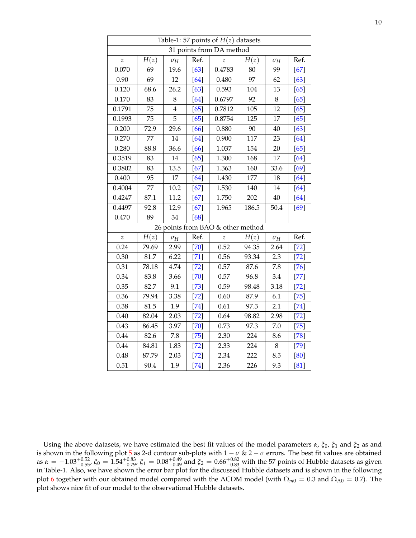| Table-1: 57 points of $H(z)$ datasets |       |                |        |                  |       |            |        |  |  |  |  |
|---------------------------------------|-------|----------------|--------|------------------|-------|------------|--------|--|--|--|--|
| 31 points from DA method              |       |                |        |                  |       |            |        |  |  |  |  |
| $\boldsymbol{z}$                      | H(z)  | $\sigma_H$     | Ref.   | $\boldsymbol{z}$ | H(z)  | $\sigma_H$ | Ref.   |  |  |  |  |
| 0.070                                 | 69    | 19.6           | $[63]$ | 0.4783           | 80    | 99         | $[67]$ |  |  |  |  |
| 0.90                                  | 69    | 12             | $[64]$ | 0.480            | 97    | 62         | $[63]$ |  |  |  |  |
| 0.120                                 | 68.6  | 26.2           | $[63]$ | 0.593            | 104   | 13         | [65]   |  |  |  |  |
| 0.170                                 | 83    | 8              | [64]   | 0.6797           | 92    | $8\,$      | $[65]$ |  |  |  |  |
| 0.1791                                | 75    | $\overline{4}$ | $[65]$ | 0.7812           | 105   | 12         | [65]   |  |  |  |  |
| 0.1993                                | 75    | 5              | $[65]$ | 0.8754           | 125   | 17         | $[65]$ |  |  |  |  |
| 0.200                                 | 72.9  | 29.6           | [66]   | 0.880            | 90    | 40         | $[63]$ |  |  |  |  |
| 0.270                                 | 77    | 14             | [64]   | 0.900            | 117   | 23         | [64]   |  |  |  |  |
| 0.280                                 | 88.8  | 36.6           | [66]   | 1.037            | 154   | 20         | [65]   |  |  |  |  |
| 0.3519                                | 83    | 14             | $[65]$ | 1.300            | 168   | 17         | $[64]$ |  |  |  |  |
| 0.3802                                | 83    | 13.5           | $[67]$ | 1.363            | 160   | 33.6       | [69]   |  |  |  |  |
| 0.400                                 | 95    | $17\,$         | [64]   | 1.430            | 177   | 18         | [64]   |  |  |  |  |
| 0.4004                                | 77    | 10.2           | $[67]$ | 1.530            | 140   | 14         | [64]   |  |  |  |  |
| 0.4247                                | 87.1  | 11.2           | $[67]$ | 1.750            | 202   | 40         | $[64]$ |  |  |  |  |
| 0.4497                                | 92.8  | 12.9           | $[67]$ | 1.965            | 186.5 | 50.4       | [69]   |  |  |  |  |
| 0.470                                 | 89    | 34             | [68]   |                  |       |            |        |  |  |  |  |
| 26 points from BAO & other method     |       |                |        |                  |       |            |        |  |  |  |  |
| $\boldsymbol{z}$                      | H(z)  | $\sigma_H$     | Ref.   | $\boldsymbol{z}$ | H(z)  | $\sigma_H$ | Ref.   |  |  |  |  |
| 0.24                                  | 79.69 | 2.99           | $[70]$ | 0.52             | 94.35 | 2.64       | $[72]$ |  |  |  |  |
| 0.30                                  | 81.7  | 6.22           | $[71]$ | 0.56             | 93.34 | 2.3        | $[72]$ |  |  |  |  |
| 0.31                                  | 78.18 | 4.74           | $[72]$ | 0.57             | 87.6  | 7.8        | $[76]$ |  |  |  |  |
| 0.34                                  | 83.8  | 3.66           | $[70]$ | 0.57             | 96.8  | 3.4        | $[77]$ |  |  |  |  |
| 0.35                                  | 82.7  | 9.1            | $[73]$ | 0.59             | 98.48 | 3.18       | $[72]$ |  |  |  |  |
| 0.36                                  | 79.94 | 3.38           | $[72]$ | 0.60             | 87.9  | 6.1        | $[75]$ |  |  |  |  |
| 0.38                                  | 81.5  | 1.9            | $[74]$ | 0.61             | 97.3  | 2.1        | $[74]$ |  |  |  |  |
| 0.40                                  | 82.04 | 2.03           | $[72]$ | 0.64             | 98.82 | 2.98       | $[72]$ |  |  |  |  |
| 0.43                                  | 86.45 | 3.97           | $[70]$ | 0.73             | 97.3  | 7.0        | $[75]$ |  |  |  |  |
| 0.44                                  | 82.6  | 7.8            | $[75]$ | 2.30             | 224   | 8.6        | $[78]$ |  |  |  |  |
| 0.44                                  | 84.81 | 1.83           | $[72]$ | 2.33             | 224   | 8          | $[79]$ |  |  |  |  |
| 0.48                                  | 87.79 | 2.03           | $[72]$ | 2.34             | 222   | 8.5        | [80]   |  |  |  |  |
| 0.51                                  | 90.4  | 1.9            | $[74]$ | 2.36             | 226   | 9.3        | [81]   |  |  |  |  |

Using the above datasets, we have estimated the best fit values of the model parameters *α*, *ξ*0, *ξ*<sup>1</sup> and *ξ*<sup>2</sup> as and is shown in the following plot [5](#page-10-0) as 2-d contour sub-plots with 1  $\sigma$  & 2  $\sigma$  errors. The best fit values are obtained as  $\alpha = -1.03_{-0.55}^{+0.52}$ ,  $\xi_0 = 1.54_{-0.79}^{+0.83}$ ,  $\xi_1 = 0.08_{-0.49}^{+0.49}$  and  $\xi_2 = 0.66_{-0.83}^{+0.82}$  with the 57 points of Hubble datasets as given in Table-1. Also, we have shown the error bar plot for the discussed Hubble datasets and is shown in the following plot [6](#page-11-0) together with our obtained model compared with the ΛCDM model (with  $\Omega_{m0} = 0.3$  and  $\Omega_{\Lambda 0} = 0.7$ ). The plot shows nice fit of our model to the observational Hubble datasets.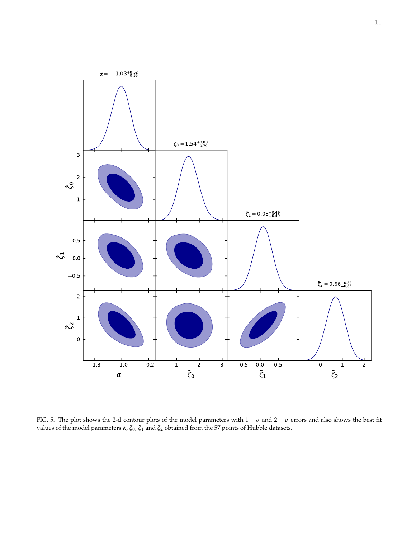

<span id="page-10-0"></span>FIG. 5. The plot shows the 2-d contour plots of the model parameters with  $1 - \sigma$  and  $2 - \sigma$  errors and also shows the best fit values of the model parameters *α*, *ξ*0, *ξ*<sup>1</sup> and *ξ*<sup>2</sup> obtained from the 57 points of Hubble datasets.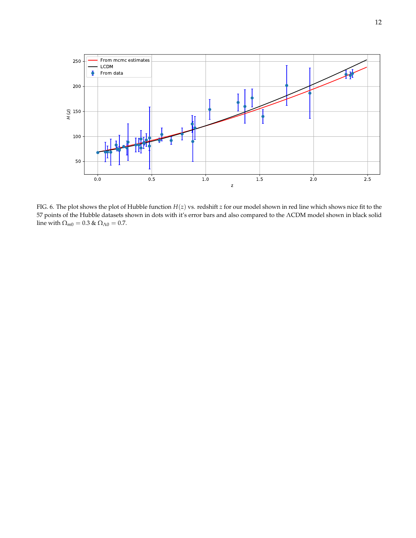

<span id="page-11-0"></span>FIG. 6. The plot shows the plot of Hubble function *H*(*z*) vs. redshift *z* for our model shown in red line which shows nice fit to the 57 points of the Hubble datasets shown in dots with it's error bars and also compared to the ΛCDM model shown in black solid line with  $\Omega_{m0} = 0.3$  &  $\Omega_{\Lambda 0} = 0.7$ .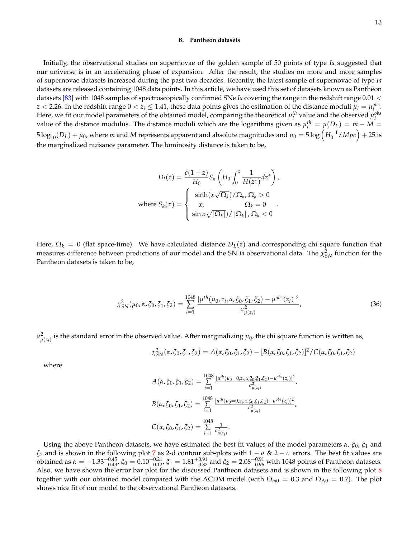#### **B. Pantheon datasets**

Initially, the observational studies on supernovae of the golden sample of 50 points of type *Ia* suggested that our universe is in an accelerating phase of expansion. After the result, the studies on more and more samples of supernovae datasets increased during the past two decades. Recently, the latest sample of supernovae of type *Ia* datasets are released containing 1048 data points. In this article, we have used this set of datasets known as Pantheon datasets [\[83\]](#page-23-48) with 1048 samples of spectroscopically confirmed SNe *Ia* covering the range in the redshift range 0.01 <  $z < 2.26$ . In the redshift range  $0 < z_i \leq 1.41$ , these data points gives the estimation of the distance moduli  $\mu_i = \mu_i^{obs}$ . Here, we fit our model parameters of the obtained model, comparing the theoretical  $\mu_i^{th}$  value and the observed  $\mu_i^{obs}$ value of the distance modulus. The distance moduli which are the logarithms given as  $\mu_i^{th} = \mu(D_L) = m - M =$  $5\log_{10}(D_L)+\mu_0$ , where  $m$  and  $M$  represents apparent and absolute magnitudes and  $\mu_0=5\log\left(H_0^{-1}/Mpc\right)+25$  is the marginalized nuisance parameter. The luminosity distance is taken to be,

$$
D_l(z) = \frac{c(1+z)}{H_0} S_k \left( H_0 \int_0^z \frac{1}{H(z^*)} dz^* \right),
$$
  
where  $S_k(x) = \begin{cases} \sinh(x\sqrt{\Omega_k})/\Omega_k, \Omega_k > 0\\ x, \qquad \Omega_k = 0\\ \sin x\sqrt{|\Omega_k|})/\left|\Omega_k\right|, \Omega_k < 0 \end{cases}$ .

Here,  $\Omega_k = 0$  (flat space-time). We have calculated distance  $D_L(z)$  and corresponding chi square function that measures difference between predictions of our model and the SN *Ia* observational data. The  $\chi^2_{SN}$  function for the Pantheon datasets is taken to be,

$$
\chi_{SN}^2(\mu_0, \alpha, \xi_0, \xi_1, \xi_2) = \sum_{i=1}^{1048} \frac{[\mu^{th}(\mu_0, z_i, \alpha, \xi_0, \xi_1, \xi_2) - \mu^{obs}(z_i)]^2}{\sigma_{\mu(z_i)}^2},\tag{36}
$$

 $\sigma_{\mu(z_i)}^2$  is the standard error in the observed value. After marginalizing  $\mu_0$ , the chi square function is written as,

$$
\chi_{SN}^2(\alpha, \xi_0, \xi_1, \xi_2) = A(\alpha, \xi_0, \xi_1, \xi_2) - [B(\alpha, \xi_0, \xi_1, \xi_2)]^2 / C(\alpha, \xi_0, \xi_1, \xi_2)
$$

where

$$
A(\alpha, \xi_0, \xi_1, \xi_2) = \sum_{i=1}^{1048} \frac{[\mu^{th}(\mu_0 = 0, z_i, \alpha, \xi_0, \xi_1, \xi_2) - \mu^{obs}(z_i)]^2}{\sigma_{\mu(z_i)}^2},
$$
  
\n
$$
B(\alpha, \xi_0, \xi_1, \xi_2) = \sum_{i=1}^{1048} \frac{[\mu^{th}(\mu_0 = 0, z_i, \alpha, \xi_0, \xi_1, \xi_2) - \mu^{obs}(z_i)]^2}{\sigma_{\mu(z_i)}^2},
$$
  
\n
$$
C(\alpha, \xi_0, \xi_1, \xi_2) = \sum_{i=1}^{1048} \frac{1}{\sigma_{\mu(z_i)}^2}.
$$

Using the above Pantheon datasets, we have estimated the best fit values of the model parameters *α*, *ξ*0, *ξ*<sup>1</sup> and *ξ*<sup>2</sup> and is shown in the following plot [7](#page-13-0) as 2-d contour sub-plots with 1 − *σ* & 2 − *σ* errors. The best fit values are obtained as  $α = -1.33_{-0.43}^{+0.45}$ ,  $ξ_0 = 0.10_{-0.12}^{+0.21}$ ,  $ξ_1 = 1.81_{-0.87}^{+0.91}$  and  $ξ_2 = 2.08_{-0.96}^{+0.91}$  with 1048 points of Pantheon datasets. Also, we have shown the error bar plot for the discussed Pantheon datasets and is shown in the following plot [8](#page-14-0) together with our obtained model compared with the ΛCDM model (with  $\Omega_{m0} = 0.3$  and  $\Omega_{\Lambda 0} = 0.7$ ). The plot shows nice fit of our model to the observational Pantheon datasets.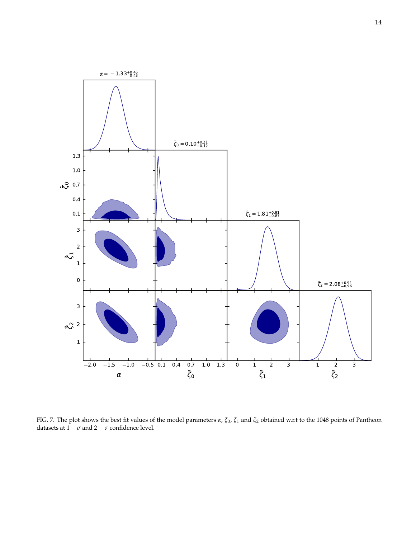

<span id="page-13-0"></span>FIG. 7. The plot shows the best fit values of the model parameters *α*, *ξ*0, *ξ*<sup>1</sup> and *ξ*<sup>2</sup> obtained w.r.t to the 1048 points of Pantheon datasets at  $1 - \sigma$  and  $2 - \sigma$  confidence level.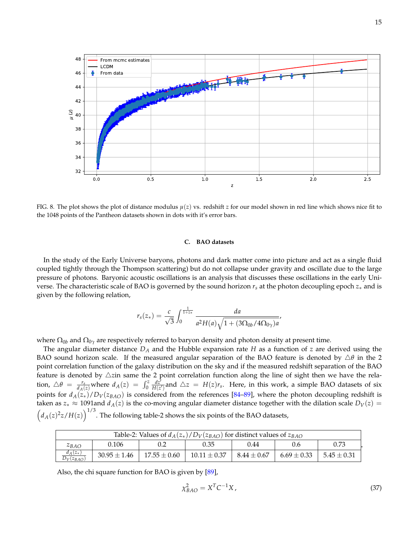

<span id="page-14-0"></span>FIG. 8. The plot shows the plot of distance modulus *µ*(*z*) vs. redshift *z* for our model shown in red line which shows nice fit to the 1048 points of the Pantheon datasets shown in dots with it's error bars.

## **C. BAO datasets**

In the study of the Early Universe baryons, photons and dark matter come into picture and act as a single fluid coupled tightly through the Thompson scattering) but do not collapse under gravity and oscillate due to the large pressure of photons. Baryonic acoustic oscillations is an analysis that discusses these oscillations in the early Universe. The characteristic scale of BAO is governed by the sound horizon *r<sup>s</sup>* at the photon decoupling epoch *z*∗ and is given by the following relation,

$$
r_s(z_*) = \frac{c}{\sqrt{3}} \int_0^{\frac{1}{1+z_*}} \frac{da}{a^2 H(a) \sqrt{1 + (3\Omega_{0b}/4\Omega_{0\gamma})a}},
$$

where  $\Omega_{0b}$  and  $\Omega_{0\gamma}$  are respectively referred to baryon density and photon density at present time.

The angular diameter distance *D<sup>A</sup>* and the Hubble expansion rate *H* as a function of *z* are derived using the BAO sound horizon scale. If the measured angular separation of the BAO feature is denoted by  $\triangle \theta$  in the 2 point correlation function of the galaxy distribution on the sky and if the measured redshift separation of the BAO feature is denoted by  $\triangle$ zin same the 2 point correlation function along the line of sight then we have the relation,  $\triangle \theta = \frac{r_s}{d_A(z)}$  where  $d_A(z) = \int_0^z \frac{dz^T}{H(z')}$  and  $\triangle z = H(z)r_s$ . Here, in this work, a simple BAO datasets of six points for  $d_A(z_*)/D_V(z_{BAO})$  is considered from the references [\[84](#page-23-49)[–89\]](#page-24-0), where the photon decoupling redshift is taken as  $z_* \approx 1091$  and  $d_A(z)$  is the co-moving angular diameter distance together with the dilation scale  $D_V(z)$  =  $\left(d_A(z)^2z/H(z)\right)^{1/3}$ . The following table-2 shows the six points of the BAO datasets,

| Table-2: Values of $d_A(z_*)/D_V(z_{BAO})$ for distinct values of $z_{BAO}$ |                  |                  |                  |                 |                 |                 |  |  |  |  |  |
|-----------------------------------------------------------------------------|------------------|------------------|------------------|-----------------|-----------------|-----------------|--|--|--|--|--|
| ZBAO                                                                        | 0.106            |                  | 0.35             | 0.44            | 0.6             | 0.73            |  |  |  |  |  |
| $d_A(z_*)$<br>$D_V(z_{BAO})$                                                | $30.95 \pm 1.46$ | $17.55 \pm 0.60$ | $10.11 \pm 0.37$ | $8.44 \pm 0.67$ | $6.69 \pm 0.33$ | $5.45 \pm 0.31$ |  |  |  |  |  |

Also, the chi square function for BAO is given by [\[89\]](#page-24-0),

$$
\chi_{BAO}^2 = X^T C^{-1} X, \qquad (37)
$$

**.**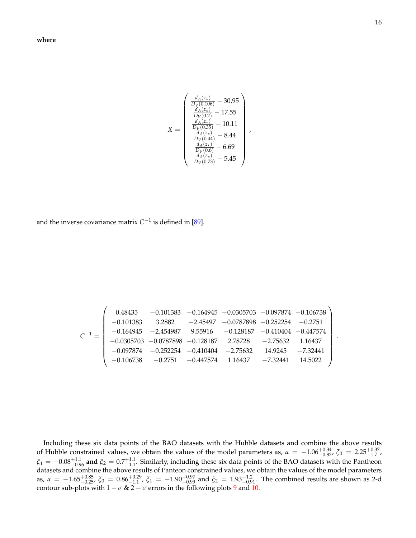**where**

$$
X = \begin{pmatrix} \frac{d_A(z_*)}{D_V(0.106)} - 30.95\\ \frac{d_A(z_*)}{D_V(0.2)} - 17.55\\ \frac{d_A(z_*)}{D_V(0.35)} - 10.11\\ \frac{d_A(z_*)}{D_V(0.44)} - 8.44\\ \frac{d_A(z_*)}{D_V(0.6)} - 6.69\\ \frac{d_A(z_*)}{D_V(0.73)} - 5.45 \end{pmatrix},
$$

and the inverse covariance matrix  $C^{-1}$  is defined in [\[89\]](#page-24-0).

$$
C^{-1}=\left(\begin{array}{cccccc} 0.48435 & -0.101383 & -0.164945 & -0.0305703 & -0.097874 & -0.106738 \\ -0.101383 & 3.2882 & -2.45497 & -0.0787898 & -0.252254 & -0.2751 \\ -0.164945 & -2.454987 & 9.55916 & -0.128187 & -0.410404 & -0.447574 \\ -0.0305703 & -0.0787898 & -0.128187 & 2.78728 & -2.75632 & 1.16437 \\ -0.097874 & -0.252254 & -0.410404 & -2.75632 & 14.9245 & -7.32441 \\ -0.106738 & -0.2751 & -0.447574 & 1.16437 & -7.32441 & 14.5022 \end{array}\right)
$$

Including these six data points of the BAO datasets with the Hubble datasets and combine the above results of Hubble constrained values, we obtain the values of the model parameters as,  $\alpha = -1.06^{+0.34}_{-0.82}$ ,  $\xi_0 = 2.25^{+0.37}_{-1.7}$ ,  $\xi_1 = -0.08^{+1.1}_{-0.96}$  and  $\xi_2 = 0.7^{+1.1}_{-1.1}$ . Similarly, including these six data points of the BAO datasets with the Pantheon datasets and combine the above results of Panteon constrained values, we obtain the values of the model parameters as,  $\alpha = -1.65_{-0.25}^{+0.85}$ ,  $\xi_0 = 0.86_{-1.1}^{+0.29}$ ,  $\xi_1 = -1.90_{-0.99}^{+0.97}$  and  $\xi_2 = 1.93_{-0.91}^{+1.2}$ . The combined results are shown as 2-d contour sub-plots with  $1 - \sigma$  &  $2 - \sigma$  errors in the following plots [9](#page-16-0) and [10.](#page-17-1)

.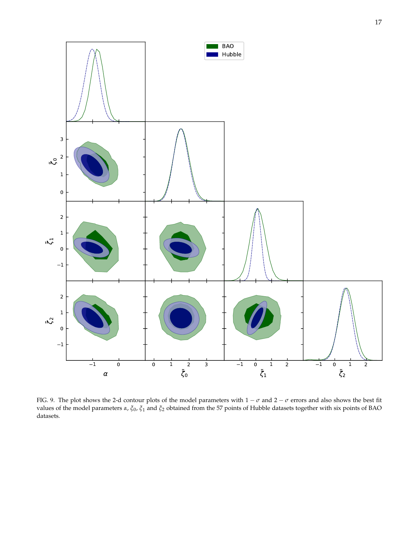

<span id="page-16-0"></span>FIG. 9. The plot shows the 2-d contour plots of the model parameters with  $1-\sigma$  and  $2-\sigma$  errors and also shows the best fit values of the model parameters *α*, *ξ*0, *ξ*<sup>1</sup> and *ξ*<sup>2</sup> obtained from the 57 points of Hubble datasets together with six points of BAO datasets.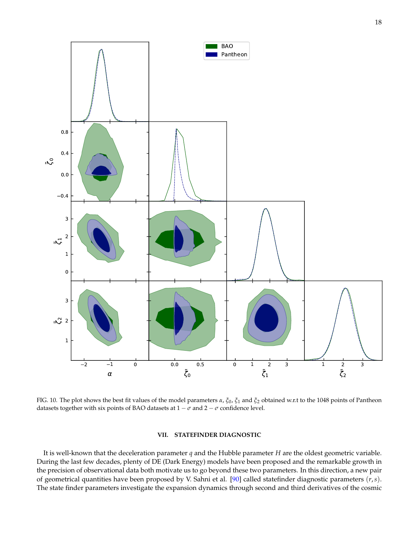

<span id="page-17-1"></span>FIG. 10. The plot shows the best fit values of the model parameters *α*, *ξ*0, *ξ*<sup>1</sup> and *ξ*<sup>2</sup> obtained w.r.t to the 1048 points of Pantheon datasets together with six points of BAO datasets at  $1 - \sigma$  and  $2 - \sigma$  confidence level.

### <span id="page-17-0"></span>**VII. STATEFINDER DIAGNOSTIC**

It is well-known that the deceleration parameter *q* and the Hubble parameter *H* are the oldest geometric variable. During the last few decades, plenty of DE (Dark Energy) models have been proposed and the remarkable growth in the precision of observational data both motivate us to go beyond these two parameters. In this direction, a new pair of geometrical quantities have been proposed by V. Sahni et al. [\[90\]](#page-24-1) called statefinder diagnostic parameters (*r*,*s*). The state finder parameters investigate the expansion dynamics through second and third derivatives of the cosmic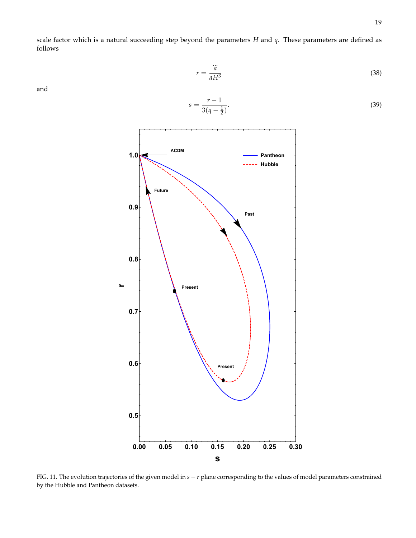(38)

scale factor which is a natural succeeding step beyond the parameters *H* and *q*. These parameters are defined as follows

> ... *a aH*<sup>3</sup>

 $r =$ 

and



$$
s = \frac{r-1}{3(q-\frac{1}{2})}.
$$
\n(39)

<span id="page-18-0"></span>FIG. 11. The evolution trajectories of the given model in *s* − *r* plane corresponding to the values of model parameters constrained by the Hubble and Pantheon datasets.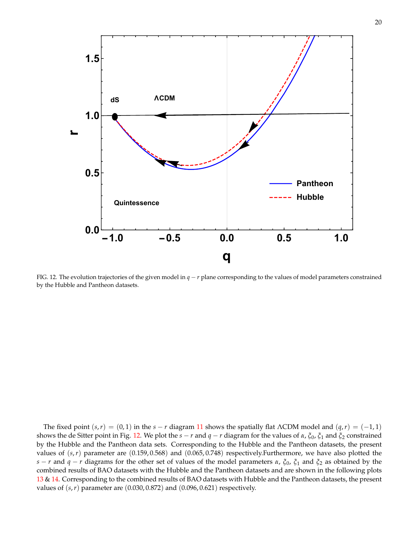

<span id="page-19-0"></span>FIG. 12. The evolution trajectories of the given model in *q* − *r* plane corresponding to the values of model parameters constrained by the Hubble and Pantheon datasets.

The fixed point  $(s, r) = (0, 1)$  in the  $s - r$  diagram [11](#page-18-0) shows the spatially flat ΛCDM model and  $(q, r) = (-1, 1)$ shows the de Sitter point in Fig. [12.](#page-19-0) We plot the *s* − *r* and *q* − *r* diagram for the values of *α*, *ξ*0, *ξ*<sup>1</sup> and *ξ*<sup>2</sup> constrained by the Hubble and the Pantheon data sets. Corresponding to the Hubble and the Pantheon datasets, the present values of (*s*,*r*) parameter are (0.159, 0.568) and (0.065, 0.748) respectively.Furthermore, we have also plotted the *s* − *r* and *q* − *r* diagrams for the other set of values of the model parameters *α*, *ξ*0, *ξ*<sup>1</sup> and *ξ*<sup>2</sup> as obtained by the combined results of BAO datasets with the Hubble and the Pantheon datasets and are shown in the following plots [13](#page-20-0) & [14.](#page-21-1) Corresponding to the combined results of BAO datasets with Hubble and the Pantheon datasets, the present values of (*s*,*r*) parameter are (0.030, 0.872) and (0.096, 0.621) respectively.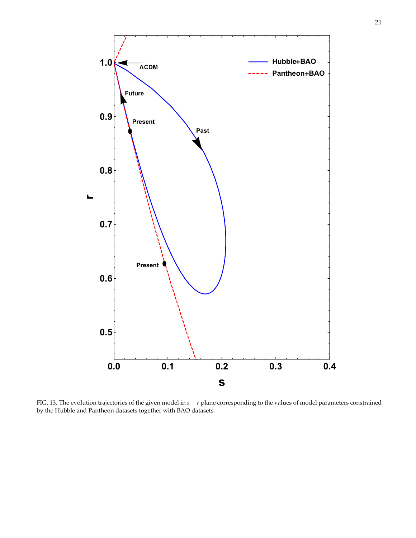

<span id="page-20-0"></span>FIG. 13. The evolution trajectories of the given model in *s* − *r* plane corresponding to the values of model parameters constrained by the Hubble and Pantheon datasets together with BAO datasets.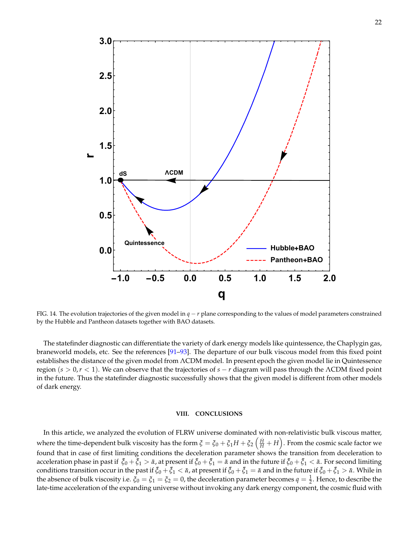

<span id="page-21-1"></span>FIG. 14. The evolution trajectories of the given model in *q* − *r* plane corresponding to the values of model parameters constrained by the Hubble and Pantheon datasets together with BAO datasets.

The statefinder diagnostic can differentiate the variety of dark energy models like quintessence, the Chaplygin gas, braneworld models, etc. See the references [\[91](#page-24-2)[–93\]](#page-24-3). The departure of our bulk viscous model from this fixed point establishes the distance of the given model from ΛCDM model. In present epoch the given model lie in Quintessence region (*s* > 0,*r* < 1). We can observe that the trajectories of *s* − *r* diagram will pass through the ΛCDM fixed point in the future. Thus the statefinder diagnostic successfully shows that the given model is different from other models of dark energy.

### <span id="page-21-0"></span>**VIII. CONCLUSIONS**

In this article, we analyzed the evolution of FLRW universe dominated with non-relativistic bulk viscous matter, where the time-dependent bulk viscosity has the form  $\xi=\xi_0+\xi_1H+\xi_2\left(\frac{H}{H}+H\right)$ . From the cosmic scale factor we found that in case of first limiting conditions the deceleration parameter shows the transition from deceleration to acceleration phase in past if  $\bar{\zeta}_0 + \bar{\zeta}_1 > \bar{\alpha}$ , at present if  $\bar{\zeta}_0 + \bar{\zeta}_1 = \bar{\alpha}$  and in the future if  $\bar{\zeta}_0 + \bar{\zeta}_1 < \bar{\alpha}$ . For second limiting conditions transition occur in the past if  $\bar{\zeta}_0 + \bar{\zeta}_1 < \bar{\alpha}$ , at present if  $\bar{\zeta}_0 + \bar{\zeta}_1 = \bar{\alpha}$  and in the future if  $\bar{\zeta}_0 + \bar{\zeta}_1 > \bar{\alpha}$ . While in the absence of bulk viscosity i.e.  $\zeta_0=\zeta_1=\zeta_2=0$ , the deceleration parameter becomes  $q=\frac{1}{2}$ . Hence, to describe the late-time acceleration of the expanding universe without invoking any dark energy component, the cosmic fluid with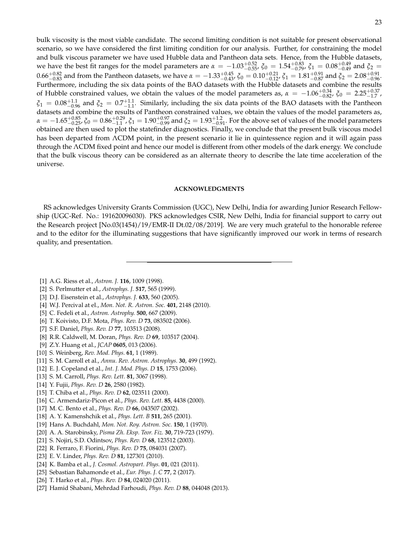bulk viscosity is the most viable candidate. The second limiting condition is not suitable for present observational scenario, so we have considered the first limiting condition for our analysis. Further, for constraining the model and bulk viscous parameter we have used Hubble data and Pantheon data sets. Hence, from the Hubble datasets, we have the best fit ranges for the model parameters are  $α = -1.03^{+0.52}_{-0.55}$ ,  $ξ_0 = 1.54^{+0.83}_{-0.79}$ ,  $ξ_1 = 0.08^{+0.49}_{-0.49}$  and  $ξ_2 =$  $0.66_{-0.83}^{+0.82}$  and from the Pantheon datasets, we have  $α = -1.33_{-0.43}^{+0.45}$ ,  $ξ_0 = 0.10_{-0.12}^{+0.21}$ ,  $ξ_1 = 1.81_{-0.87}^{+0.91}$  and  $ξ_2 = 2.08_{-0.96}^{+0.91}$ . Furthermore, including the six data points of the BAO datasets with the Hubble datasets and combine the results of Hubble constrained values, we obtain the values of the model parameters as,  $\alpha = -1.06^{+0.34}_{-0.82}$ ,  $\xi_0 = 2.25^{+0.37}_{-1.7}$ ,  $\xi_1 = 0.08^{+1.1}_{-0.96}$  and  $\xi_2 = 0.7^{+1.1}_{-1.1}$ . Similarly, including the six data points of the BAO datasets with the Pantheon datasets and combine the results of Pantheon constrained values, we obtain the values of the model parameters as,  $\alpha=-1.65^{+0.85}_{-0.25}$ ,  $\xi_0=0.86^{+0.29}_{-1.1}$ ,  $\xi_1=1.90^{+0.97}_{-0.99}$  and  $\xi_2=1.93^{+1.2}_{-0.91}$ . For the above set of values of the model parameters obtained are then used to plot the statefinder diagnostics. Finally, we conclude that the present bulk viscous model has been departed from ΛCDM point, in the present scenario it lie in quintessence region and it will again pass through the ΛCDM fixed point and hence our model is different from other models of the dark energy. We conclude that the bulk viscous theory can be considered as an alternate theory to describe the late time acceleration of the universe.

### **ACKNOWLEDGMENTS**

RS acknowledges University Grants Commission (UGC), New Delhi, India for awarding Junior Research Fellowship (UGC-Ref. No.: 191620096030). PKS acknowledges CSIR, New Delhi, India for financial support to carry out the Research project [No.03(1454)/19/EMR-II Dt.02/08/2019]. We are very much grateful to the honorable referee and to the editor for the illuminating suggestions that have significantly improved our work in terms of research quality, and presentation.

- <span id="page-22-0"></span>[1] A.G. Riess et al., *Astron. J.* **116**, 1009 (1998).
- <span id="page-22-1"></span>[2] S. Perlmutter et al., *Astrophys. J.* **517**, 565 (1999).
- <span id="page-22-2"></span>[3] D.J. Eisenstein et al., *Astrophys. J.* **633**, 560 (2005).
- <span id="page-22-3"></span>[4] W.J. Percival at el., *Mon. Not. R. Astron. Soc.* **401**, 2148 (2010).
- <span id="page-22-6"></span>[5] C. Fedeli et al., *Astron. Astrophy.* **500**, 667 (2009).
- <span id="page-22-4"></span>[6] T. Koivisto, D.F. Mota, *Phys. Rev. D* **73**, 083502 (2006).
- <span id="page-22-5"></span>[7] S.F. Daniel, *Phys. Rev. D* **77**, 103513 (2008).
- <span id="page-22-7"></span>[8] R.R. Caldwell, M. Doran, *Phys. Rev. D* **69**, 103517 (2004).
- <span id="page-22-8"></span>[9] Z.Y. Huang et al., *JCAP* **0605**, 013 (2006).
- <span id="page-22-9"></span>[10] S. Weinberg, *Rev. Mod. Phys.* **61**, 1 (1989).
- <span id="page-22-10"></span>[11] S. M. Carroll et al., *Annu. Rev. Astron. Astrophys.* **30**, 499 (1992).
- <span id="page-22-11"></span>[12] E. J. Copeland et al., *Int. J. Mod. Phys. D* **15**, 1753 (2006).
- <span id="page-22-12"></span>[13] S. M. Carroll, *Phys. Rev. Lett.* **81**, 3067 (1998).
- <span id="page-22-13"></span>[14] Y. Fujii, *Phys. Rev. D* **26**, 2580 (1982).
- <span id="page-22-14"></span>[15] T. Chiba et al., *Phys. Rev. D* **62**, 023511 (2000).
- <span id="page-22-15"></span>[16] C. Armendariz-Picon et al., *Phys. Rev. Lett.* **85**, 4438 (2000).
- <span id="page-22-16"></span>[17] M. C. Bento et al., *Phys. Rev. D* **66**, 043507 (2002).
- <span id="page-22-17"></span>[18] A. Y. Kamenshchik et al., *Phys. Lett. B* **511**, 265 (2001).
- <span id="page-22-18"></span>[19] Hans A. Buchdahl, *Mon. Not. Roy. Astron. Soc.* **150**, 1 (1970).
- [20] A. A. Starobinsky, *Pisma Zh. Eksp. Teor. Fiz.* **30**, 719-723 (1979).
- <span id="page-22-19"></span>[21] S. Nojiri, S.D. Odintsov, *Phys. Rev. D* **68**, 123512 (2003).
- <span id="page-22-20"></span>[22] R. Ferraro, F. Fiorini, *Phys. Rev. D* **75**, 084031 (2007).
- [23] E. V. Linder, *Phys. Rev. D* **81**, 127301 (2010).
- <span id="page-22-21"></span>[24] K. Bamba et al., *J. Cosmol. Astropart. Phys.* **01**, 021 (2011).
- <span id="page-22-22"></span>[25] Sebastian Bahamonde et al., *Eur. Phys. J. C* **77**, 2 (2017).
- <span id="page-22-23"></span>[26] T. Harko et al., *Phys. Rev. D* **84**, 024020 (2011).
- <span id="page-22-24"></span>[27] Hamid Shabani, Mehrdad Farhoudi, *Phys. Rev. D* **88**, 044048 (2013).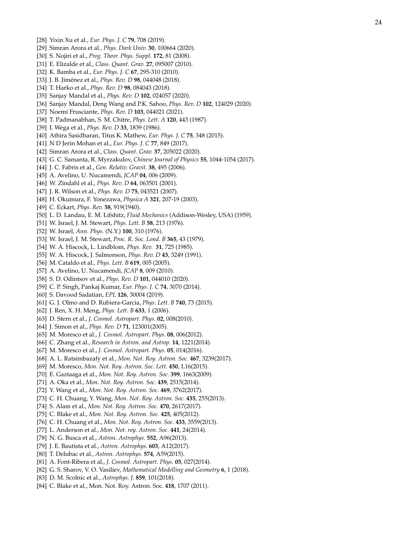- <span id="page-23-0"></span>[28] Yixin Xu et al., *Eur. Phys. J. C* **79**, 708 (2019).
- <span id="page-23-1"></span>[29] Simran Arora et al., *Phys. Dark Univ.* **30**, 100664 (2020).
- <span id="page-23-2"></span>[30] S. Nojiri et al., *Prog. Theor. Phys. Suppl.* **172**, 81 (2008).
- <span id="page-23-3"></span>[31] E. Elizalde et al., *Class. Quant. Grav.* **27**, 095007 (2010).
- <span id="page-23-4"></span>[32] K. Bamba et al., *Eur. Phys. J. C* **67**, 295-310 (2010).
- <span id="page-23-5"></span>[33] J. B. Jimenez et al., ´ *Phys. Rev. D* **98**, 044048 (2018).
- <span id="page-23-6"></span>[34] T. Harko et al., *Phys. Rev. D* **98**, 084043 (2018).
- <span id="page-23-7"></span>[35] Sanjay Mandal et al., *Phys. Rev. D* **102**, 024057 (2020).
- <span id="page-23-8"></span>[36] Sanjay Mandal, Deng Wang and P.K. Sahoo, *Phys. Rev. D* **102**, 124029 (2020).
- <span id="page-23-9"></span>[37] Noemi Frusciante, *Phys. Rev. D* **103**, 044021 (2021).
- <span id="page-23-10"></span>[38] T. Padmanabhan, S. M. Chitre, *Phys. Lett. A* **120**, 443 (1987).
- <span id="page-23-11"></span>[39] I. Wega et al., *Phys. Rev. D* **33**, 1839 (1986).
- <span id="page-23-12"></span>[40] Athira Sasidharan, Titus K. Mathew, *Eur. Phys. J. C* **75**, 348 (2015).
- [41] N D Jerin Mohan et al., *Eur. Phys. J. C* **77**, 849 (2017).
- [42] Simran Arora et al., *Class. Quant. Grav.* **37**, 205022 (2020).
- [43] G. C. Samanta, R. Myrzakulov, *Chinese Journal of Physics* **55**, 1044-1054 (2017).
- [44] J. C. Fabris et al., *Gen. Relativ. Gravit.* **38**, 495 (2006).
- <span id="page-23-13"></span>[45] A. Avelino, U. Nucamendi, *JCAP* **04**, 006 (2009).
- <span id="page-23-14"></span>[46] W. Zindahl et al., *Phys. Rev. D* **64**, 063501 (2001).
- <span id="page-23-15"></span>[47] J. R. Wilson et al., *Phys. Rev. D* **75**, 043521 (2007).
- <span id="page-23-16"></span>[48] H. Okumura, F. Yonezawa, *Physica A* **321**, 207-19 (2003).
- <span id="page-23-17"></span>[49] C. Eckart, *Phys. Rev.* **58**, 919(1940).
- <span id="page-23-18"></span>[50] L. D. Landau, E. M. Lifshitz, *Fluid Mechanics* (Addison-Wesley, USA) (1959).
- <span id="page-23-19"></span>[51] W. Israel, J. M. Stewart, *Phys. Lett. B* **58**, 213 (1976).
- [52] W. Israel, *Ann. Phys.* (N.Y.) **100**, 310 (1976).
- [53] W. Israel, J. M. Stewart, *Proc. R. Soc. Lond. B* **365**, 43 (1979).
- [54] W. A. Hiscock, L. Lindblom, *Phys. Rev.* **31**, 725 (1985).
- <span id="page-23-20"></span>[55] W. A. Hiscock, J. Salmonson, *Phys. Rev. D* **43**, 3249 (1991).
- <span id="page-23-21"></span>[56] M. Cataldo et al., *Phys. Lett. B* **619**, 005 (2005).
- <span id="page-23-22"></span>[57] A. Avelino, U. Nucamendi, *JCAP* **8**, 009 (2010).
- <span id="page-23-23"></span>[58] S. D. Odintsov et al., *Phys. Rev. D* **101**, 044010 (2020).
- <span id="page-23-24"></span>[59] C. P. Singh, Pankaj Kumar, *Eur. Phys. J. C* **74**, 3070 (2014).
- <span id="page-23-25"></span>[60] S. Davood Sadatian, *EPL* **126**, 30004 (2019).
- <span id="page-23-26"></span>[61] G. J. Olmo and D. Rubiera-Garcia, *Phys. Lett. B* **740**, 73 (2015).
- <span id="page-23-27"></span>[62] J. Ren, X. H. Meng, *Phys. Lett. B* **633**, 1 (2006).
- <span id="page-23-28"></span>[63] D. Stern et al., *J. Cosmol. Astropart. Phys.* **02**, 008(2010).
- <span id="page-23-32"></span>[64] J. Simon et al., *Phys. Rev. D* **71**, 123001(2005).
- <span id="page-23-33"></span>[65] M. Moresco et al., *J. Cosmol. Astropart. Phys.* **08**, 006(2012).
- <span id="page-23-34"></span>[66] C. Zhang et al., *Research in Astron. and Astrop.* **14**, 1221(2014).
- <span id="page-23-31"></span>[67] M. Moresco et al., *J. Cosmol. Astropart. Phys.* **05**, 014(2016).
- <span id="page-23-36"></span>[68] A. L. Ratsimbazafy et al., *Mon. Not. Roy. Astron. Soc.* **467**, 3239(2017).
- <span id="page-23-35"></span>[69] M. Moresco, *Mon. Not. Roy. Astron. Soc. Lett.* **450**, L16(2015).
- <span id="page-23-37"></span>[70] E. Gaztaaga et al., *Mon. Not. Roy. Astron. Soc.* **399**, 1663(2009).
- <span id="page-23-39"></span>[71] A. Oka et al., *Mon. Not. Roy. Astron. Soc.* **439**, 2515(2014).
- <span id="page-23-38"></span>[72] Y. Wang et al., *Mon. Not. Roy. Astron. Soc.* **469**, 3762(2017).
- <span id="page-23-42"></span>[73] C. H. Chuang, Y. Wang, *Mon. Not. Roy. Astron. Soc.* **435**, 255(2013).
- <span id="page-23-44"></span>[74] S. Alam et al., *Mon. Not. Roy. Astron. Soc.* **470**, 2617(2017).
- <span id="page-23-43"></span>[75] C. Blake et al., *Mon. Not. Roy. Astron. Soc.* **425**, 405(2012).
- <span id="page-23-40"></span>[76] C. H. Chuang et al., *Mon. Not. Roy. Astron. Soc.* **433**, 3559(2013).
- <span id="page-23-41"></span>[77] L. Anderson et al., *Mon. Not. roy. Astron. Soc.* **441**, 24(2014).
- <span id="page-23-45"></span>[78] N. G. Busca et al., *Astron. Astrophys.* **552**, A96(2013).
- <span id="page-23-46"></span>[79] J. E. Bautista et al., *Astron. Astrophys.* **603**, A12(2017).
- <span id="page-23-47"></span>[80] T. Delubac et al., *Astron. Astrophys.* **574**, A59(2015).
- <span id="page-23-29"></span>[81] A. Font-Ribera et al., *J. Cosmol. Astropart. Phys.* **05**, 027(2014).
- <span id="page-23-30"></span>[82] G. S. Sharov, V. O. Vasiliev, *Mathematical Modelling and Geometry* **6**, 1 (2018).
- <span id="page-23-48"></span>[83] D. M. Scolnic et al., *Astrophys. J.* **859**, 101(2018).
- <span id="page-23-49"></span>[84] C. Blake et al., Mon. Not. Roy. Astron. Soc. **418**, 1707 (2011).